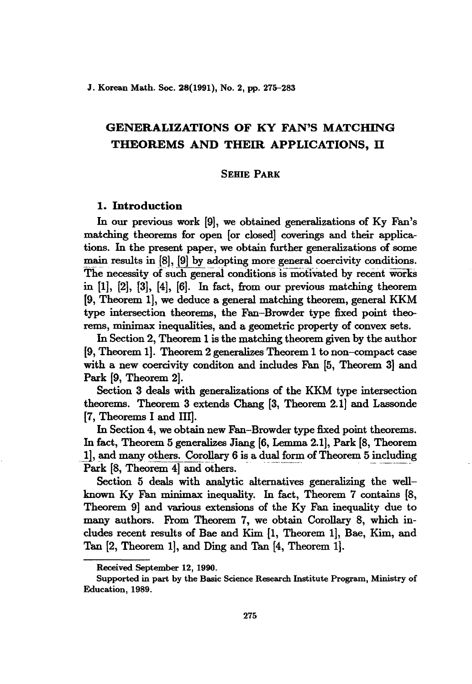J. Korean Math. Soc. 28(1991), No. 2, pp. 275-283

# GENERALIZATIONS OF KY FAN'S MATCHING THEOREMS AND THEm APPLICATIONS, II

#### SEHIE PARK

# 1. Introduction

In our previous work [9], we obtained generalizations of Ky Fan's matching theorems for open [or closed] coverings and their applications. In the present paper, we obtain further generalizations of some main results in  $[8]$ ,  $[9]$  by adopting more general coercivity conditions. The necessity of such general conditions is motivated by recent works in [1], [2], [3], [4], [6]. In fact, from our previous matching theorem [9, Theorem 1], we deduce a general matching theorem, general KKM type intersection theorems, the Fan-Browder type fixed point theorems, minimax inequalities, and a geometric property of convex sets.

In Section 2, Theorem 1 is the matching theorem given by the author [9, Theorem 1]. Theorem 2 generalizes Theorem 1 to non-eompact case with a new coercivity conditon and includes Fan [5, Theorem 3] and Park [9, Theorem 2].

Section 3 deals with generalizations of the KKM type intersection theorems. Theorem 3 extends Chang [3, Theorem 2.1] and Lassonde [7, Theorems I and Ill].

In Section 4, we obtain new Fan-Browder type fixed point theorems. In fact, Theorem 5 generalizes Jiang [6, Lemma 2.1], Park [8, Theorem 1], and many others. Corollary 6 is a dual form of Theorem 5 including Park [8, Theorem 4] and others.

Section 5 deals with analytic alternatives generalizing the wellknown Ky Fan minimax inequality. In fact, Theorem 7 contains [8, Theorem 9] and various extensions of the Ky Fan inequality due to many authors. From Theorem 7, we obtain Corollary 8, which includes recent results of Bae and Kim [1, Theorem 1], Bae, Kim, and Tan [2, Theorem 1], and Ding and Tan [4, Theorem 1].

Received September 12, 1990.

Supported in part by the Basic Science Research Institute Program, Ministry of Education, 1989.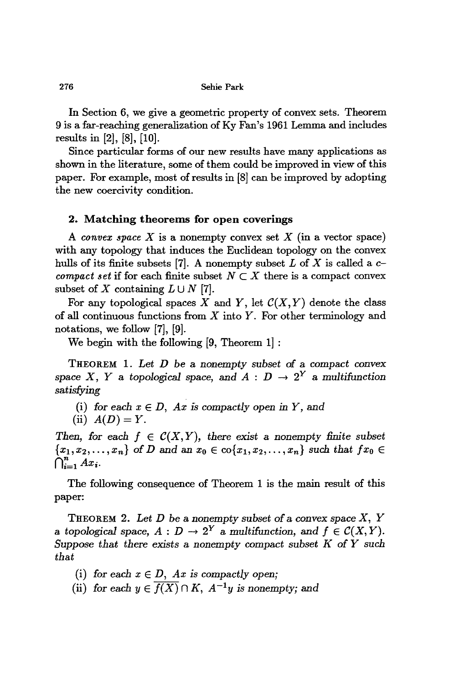276 Sehie Park

**In** Section 6, we give a geometric property of convex sets. Theorem 9 is a far-reaching generalization of Ky Fan's 1961 Lemma and includes results in [2], [8], [10].

Since particular forms of our new results have many applications as shown in the literature, some of them could be improved in view of this paper. For example, most of results in [8] can be improved by adopting the new coercivity condition.

# **2. Matching theorems for open coverings**

A *convex space*  $X$  is a nonempty convex set  $X$  (in a vector space) with any topology that induces the Euclidean topology on the convex hulls of its finite subsets [7]. A nonempty subset  $L$  of  $X$  is called a  $c$ *compact set* if for each finite subset  $N \subset X$  there is a compact convex subset of X containing  $L \cup N$  [7].

For any topological spaces *X* and *Y*, let  $C(X, Y)$  denote the class of all continuous functions from *X* into Y. For other terminology and notations, we follow [7], [9].

We begin with the following [9, Theorem 1] :

THEOREM 1. *Let D* be a nonempty subset of a *compact convex* space *X*, *Y* a topological space, and *A* :  $D \rightarrow 2^Y$  a multifunction *satisfying*

- (i) for each  $x \in D$ , Ax is compactly open in Y, and
- (ii)  $A(D) = Y$ .

*Then,* for each  $f \in C(X, Y)$ , there exist a nonempty finite subset  ${x_1, x_2, \ldots, x_n}$  of *D* and an  $x_0 \in \text{co}\{x_1, x_2, \ldots, x_n\}$  such that  $fx_0 \in$  $\bigcap_{i=1}^n Ax_i$ .

The following consequence of Theorem 1 is the main result of this paper:

THEOREM 2. *Let D* be a *nonempty* subset of a *convex space X, Y* a topological space,  $A : D \to 2^Y$  a multifunction, and  $f \in \mathcal{C}(X, Y)$ . *Suppose that there exists* a *nonempty compact* subset *K* of *Y* such *that*

(i) for each  $x \in D$ , Ax is compactly open;

(ii) for each  $y \in f(X) \cap K$ ,  $A^{-1}y$  is nonempty; and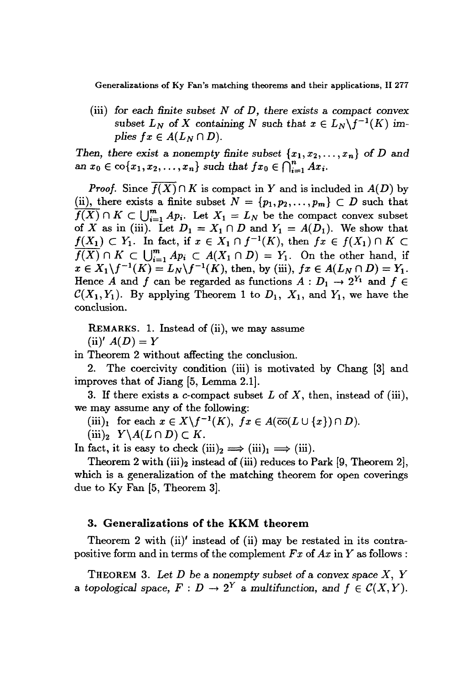Generalizations of Ky Fan's matching theorems and their applications, 11 277

(iii) for *each finite subset* N of *D, there exists* a *compact convex* subset  $L_N$  of X containing N such that  $x \in L_N \backslash f^{-1}(K)$  im*plies*  $fx \in A(L_N \cap D)$ .

*Then,* there exist a nonempty finite subset  $\{x_1, x_2, \ldots, x_n\}$  of *D* and  $\{x_0 \in \text{co}\{x_1, x_2, \ldots, x_n\} \text{ such that } fx_0 \in \bigcap_{i=1}^n Ax_i.$ 

*Proof.* Since  $\overline{f(X)} \cap K$  is compact in Y and is included in  $A(D)$  by (ii), there exists a finite subset  $N = \{p_1, p_2, \ldots, p_m\} \subset D$  such that  $\overline{f(X)} \cap K \subset \bigcup_{i=1}^m Ap_i$ . Let  $X_1 = L_N$  be the compact convex subset of *X* as in (iii). Let  $D_1 = X_1 \cap D$  and  $Y_1 = A(D_1)$ . We show that  $f(X_1) \subset Y_1$ . In fact, if  $x \in X_1 \cap f^{-1}(K)$ , then  $fx \in f(X_1) \cap K \subset$  $f(X) \cap K \subset \bigcup_{i=1}^m Ap_i \subset A(X_1 \cap D) = Y_1$ . On the other hand, if  $x \in X_1 \backslash f^{-1}(K) = L_N \backslash f^{-1}(K)$ , then, by (iii),  $fx \in A(L_N \cap D) = Y_1$ . Hence A and f can be regarded as functions  $A: D_1 \to 2^{Y_1}$  and  $f \in$  $\mathcal{C}(X_1, Y_1)$ . By applying Theorem 1 to  $D_1$ ,  $X_1$ , and  $Y_1$ , we have the conclusion.

REMARKS. 1. Instead of (ii), we may assume  $(iii)' A(D) = Y$ 

in Theorem 2 without affecting the conclusion.

2. The coercivity condition (iii) is motivated by Chang [3} and improves that of Jiang [5, Lemma 2.1}.

3. If there exists a c-compact subset *L* of *X,* then, instead of (iii), we may assume any of the following:

(iii)<sub>1</sub> for each  $x \in X \backslash f^{-1}(K)$ ,  $fx \in A(\overline{co}(L \cup \{x\}) \cap D)$ .

 $(iii)_2$   $Y\setminus A(L \cap D) \subset K$ .

In fact, it is easy to check  $(iii)_2 \Longrightarrow (iii)_1 \Longrightarrow (iii)$ .

Theorem 2 with  $(iii)_2$  instead of  $(iii)$  reduces to Park [9, Theorem 2], which is a generalization of the matching theorem for open coverings due to Ky Fan [5, Theorem 3}.

#### 3. Generalizations of the KKM theorem

Theorem 2 with (ii)' instead of (ii) may be restated in its contrapositive form and in terms of the complement  $Fx$  of  $Ax$  in  $Y$  as follows:

THEOREM 3. *Let D* be a *nonempty subset* of a *convex space* X, *Y* a topological space,  $F: D \to 2^Y$  a multifunction, and  $f \in \mathcal{C}(X, Y)$ .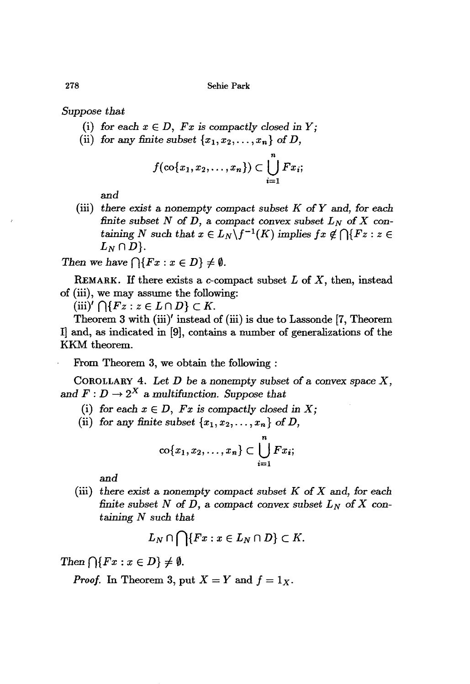278 Sehie Park

*Suppose that*

- (i) for each  $x \in D$ ,  $Fx$  is compactly closed in  $Y$ ;
- (ii) for any finite subset  $\{x_1, x_2, \ldots, x_n\}$  of *D*,

$$
f(\operatorname{co}\{x_1,x_2,\ldots,x_n\})\subset \bigcup_{i=1}^n Fx_i;
$$

and

(iii) there exist a nonempty compact subset  $K$  of  $Y$  and, for each *finite subset*  $N$  *of*  $D$ , a *compact convex subset*  $L_N$  *of*  $X$  *con*taining *N* such that  $x \in L_N \backslash f^{-1}(K)$  implies  $fx \notin \bigcap \{Fz : z \in$  $L_N \cap D$ .

*Then* we have  $\bigcap \{Fx : x \in D\} \neq \emptyset$ .

REMARK. If there exists a c-compaet subset *L* of *X,* then, instead of (iii), we may assume the following:

 $(iii)'$   $\bigcap \{Fz : z \in L \cap D\} \subset K$ .

Theorem 3 with (iii)' instead of (iii) is due to Lassonde [7, Theorem I] and, as indicated in [9], contains a number of generalizations of the KKM theorem.

From Theorem 3, we obtain the following :

COROLLARY 4. *Let D* be a *nonempty subset of* a *convex* space *X,* and  $F: D \to 2^X$  a multifunction. Suppose that

- (i) for each  $x \in D$ ,  $Fx$  is compactly closed in X;
- (ii) for any finite subset  $\{x_1, x_2, \ldots, x_n\}$  of *D*,

$$
\mathrm{co}\{x_1,x_2,\ldots,x_n\}\subset\bigcup_{i=1}^n Fx_i;
$$

and

(iii) *there exist* a *nonempty* compact subset *K of X* and, *for each finite* subset N of D, a compact convex subset  $L_N$  of X containing N such that

$$
L_N\cap\bigcap\{Fx:x\in L_N\cap D\}\subset K.
$$

*Then*  $\bigcap \{Fx : x \in D\} \neq \emptyset$ .

*Proof.* In Theorem 3, put  $X = Y$  and  $f = 1_X$ .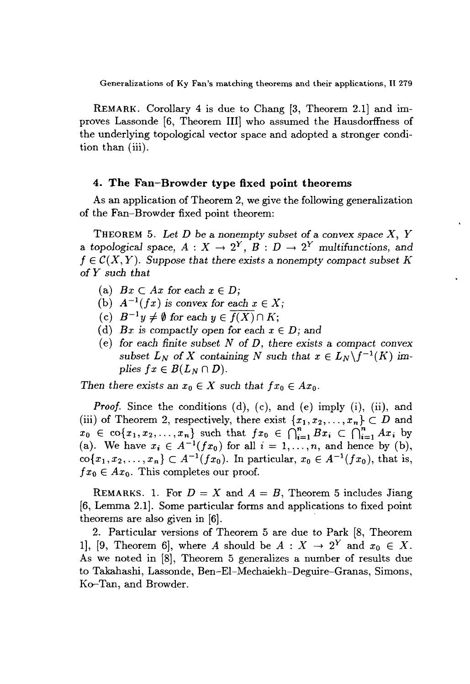Generalizations of Ky Fan's matching theorems and their applications, II 279

REMARK. Corollary 4 is due to Chang [3, Theorem 2.1] and improves Lassonde [6, Theorem Ill] who assumed the Hausdorffness of the underlying topological vector space and adopted a stronger condition than (iii).

### **4. The Fan-Browder type fixed point theorems**

As an application of Theorem 2, we give the following generalization of the Fan-Browder fixed point theorem:

THEOREM 5. *Let D* be a nonempty *subset of* a *convex space X, Y* a topological space,  $A: X \to 2^Y$ ,  $B: D \to 2^Y$  multifunctions, and  $f \in \mathcal{C}(X, Y)$ . Suppose that there exists a nonempty compact subset K *of Y such that*

- (a)  $Bx \subset Ax$  for each  $x \in D$ ;
- (b)  $A^{-1}(fx)$  is convex for each  $x \in X$ ;
- $f(c)$   $B^{-1}y \neq \emptyset$  for each  $y \in f(X) \cap K$ ;
- (d) *Bx* is compactly open for each  $x \in D$ ; and
- (e) *for each* finite *subset N* of *D, there exists* a *compact convex* subset  $L_N$  of X containing N such that  $x \in L_N\backslash f^{-1}(K)$  im*plies*  $fx \in B(L_N \cap D)$ .

*Then there* exists an  $x_0 \in X$  *such that*  $fx_0 \in Ax_0$ .

*Proof.* Since the conditions (d), (c), and (e) imply (i), (ii), and (iii) of Theorem 2, respectively, there exist  $\{x_1, x_2, \ldots, x_n\} \subset D$  and  $x_0 \in \text{co}\{x_1, x_2, \ldots, x_n\}$  such that  $fx_0 \in \bigcap_{i=1}^n Bx_i \subset \bigcap_{i=1}^n Ax_i$  by (a). We have  $x_i \in A^{-1}(fx_0)$  for all  $i = 1, \ldots, n$ , and hence by (b),  $\text{co}\{x_1, x_2, \ldots, x_n\} \subset A^{-1}(fx_0)$ . In particular,  $x_0 \in A^{-1}(fx_0)$ , that is,  $fx_0 \in Ax_0$ . This completes our proof.

REMARKS. 1. For  $D = X$  and  $A = B$ , Theorem 5 includes Jiang [6, Lemma 2.1]. Some particular forms and applications to fixed point theorems are also given in [6].

2. Particular versions of Theorem 5 are due to Park [8, Theorem 1], [9, Theorem 6], where A should be  $A: X \to 2^Y$  and  $x_0 \in X$ . As we noted in [8], Theorem 5 generalizes a number of results due to Takahashi, Lassonde, Ben-El-Mechaiekh-Deguire-Granas, Simons, Ko-Tan, and Browder.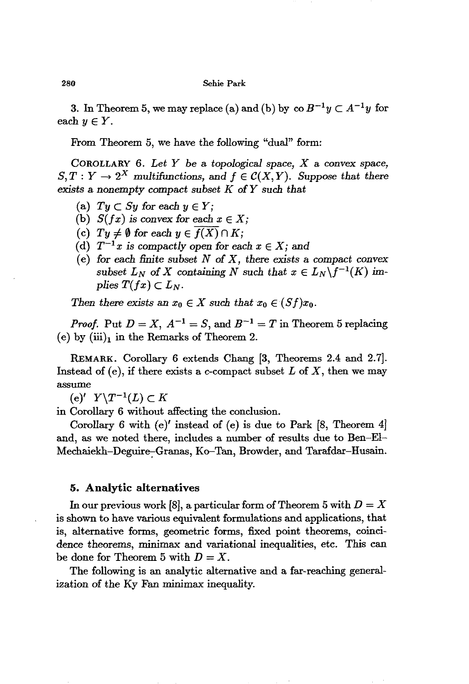3. In Theorem 5, we may replace (a) and (b) by  $\cos B^{-1}y \subset A^{-1}y$  for each  $y \in Y$ .

From Theorem 5, we have the following "dual" form:

COROLLARY 6. *Let Y be* a *topological* space, *X* a convex space,  $S, T: Y \to 2^X$  multifunctions, and  $f \in \mathcal{C}(X, Y)$ . Suppose that there *exists* a *nonempty compact subset K* of*Y* such. *that*

- (a)  $Ty \subset Sy$  for each  $y \in Y$ ;
- (b)  $S(fx)$  is convex for each  $x \in X$ ;
- (c)  $Ty \neq \emptyset$  for each  $y \in f(X) \cap K$ ;
- (d)  $T^{-1}x$  is compactly open for each  $x \in X$ ; and
- (e) *for* each. *:finite* subset *N* of X, *there exists* a *compact convex subset*  $L_N$  of X containing N such that  $x \in L_N\backslash f^{-1}(K)$  im*plies*  $T(fx) \subset L_N$ .

*Then there exists* an  $x_0 \in X$  *such that*  $x_0 \in (Sf)x_0$ .

*Proof.* Put  $D = X$ ,  $A^{-1} = S$ , and  $B^{-1} = T$  in Theorem 5 replacing (e) by  $(iii)_1$  in the Remarks of Theorem 2.

REMARK. Corollary 6 extends Chang [3, Theorems 2.4 and 2.7). Instead of (e), if there exists a c-compact subset *L* of *X,* then we may assume

(e)'  $Y\setminus T^{-1}(L) \subset K$ 

in Corollary 6 without affecting the conclusion.

Corollary 6 with (e)' instead of (e) is due to Park [8, Theorem 4] and, as we noted there, includes a number of results due to Ben-El-Mechaiekh-Deguire-Granas, Ko-Tan, Browder, and Tarafdar-Husain.

#### **5. Analytic alternatives**

In our previous work [8], a particular form of Theorem 5 with  $D = X$ is shown to have various equivalent formulations and applications, that is, alternative forms, geometric forms, fixed point theorems, coincidence theorems, minimax and variational inequalities, etc. This can be done for Theorem 5 with  $D = X$ .

The following is an analytic alternative and a far-reaching generalization of the Ky Fan minimax inequality.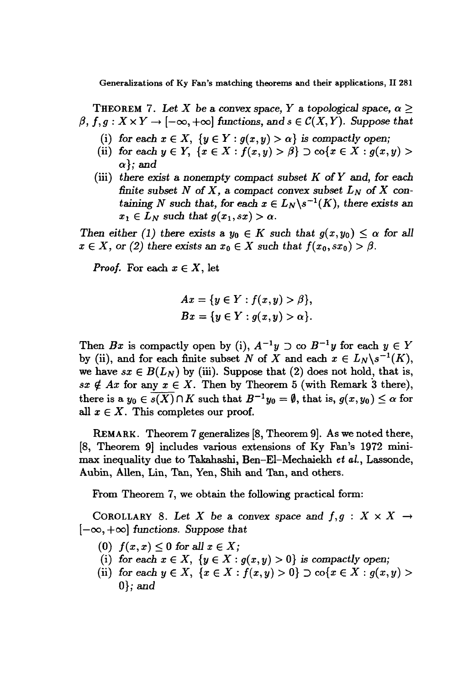Generalizations of Ky Fan's matching theorems and their applications, 11 281

THEOREM 7. Let X be a convex space, Y a topological space,  $\alpha \geq$  $\beta, f, g: X \times Y \to [-\infty, +\infty]$  *functions,* and  $s \in \mathcal{C}(X, Y)$ . Suppose that

- (i) for each  $x \in X$ ,  $\{y \in Y : g(x, y) > \alpha\}$  is compactly open;
- (ii) for each  $y \in Y$ ,  $\{x \in X : f(x, y) > \beta\} \supset \text{co}\{x \in X : g(x, y) > \beta\}$ *a};* and
- (iii) *there exist* a nonempty compact *subset K* of Y and, *for each finite* subset  $N$  of  $X$ , a compact convex subset  $L_N$  of  $X$  con*taining* N such that, for each  $x \in L_N \backslash s^{-1}(K)$ , there exists an  $x_1 \in L_N$  such that  $g(x_1,sx) > \alpha$ .

*Then either* (1) *there exists* a  $y_0 \in K$  *such that*  $g(x, y_0) \leq \alpha$  *for all*  $x \in X$ , or (2) there exists an  $x_0 \in X$  such that  $f(x_0, sx_0) > \beta$ .

*Proof.* For each  $x \in X$ , let

$$
Ax = \{y \in Y : f(x, y) > \beta\},\,
$$
  

$$
Bx = \{y \in Y : g(x, y) > \alpha\}.
$$

Then *Bx* is compactly open by (i),  $A^{-1}y \supset \infty B^{-1}y$  for each  $y \in Y$ by (ii), and for each finite subset *N* of *X* and each  $x \in L_N \backslash s^{-1}(K)$ , we have  $sx \in B(L_N)$  by (iii). Suppose that (2) does not hold, that is,  $sx \notin Ax$  for any  $x \in X$ . Then by Theorem 5 (with Remark 3 there), there is a  $y_0 \in s(X) \cap K$  such that  $B^{-1}y_0 = \emptyset$ , that is,  $g(x, y_0) \leq \alpha$  for all  $x \in X$ . This completes our proof.

REMARK. Theorem 7 generalizes [8, Theorem 9]. As we noted there, [8, Theorem 9] includes various extensions of Ky Fan's 1972 minimax inequality due to Takahashi, Ben-EI-Mechaiekh *et al.,* Lassonde, Aubin, Allen, Lin, Tan, Yen, Shih and Tan, and others.

From Theorem 7, we obtain the following practical form:

COROLLARY 8. Let X be a convex space and  $f, g: X \times X \rightarrow$  $[-\infty, +\infty]$  functions. Suppose that

- $(0)$   $f(x, x) \leq 0$  *for all*  $x \in X$ ;
- (i) for each  $x \in X$ ,  $\{y \in X : g(x, y) > 0\}$  is compactly open;
- (ii) for each  $y \in X$ ,  $\{x \in X : f(x, y) > 0\} \supset \text{co}\{x \in X : g(x, y) > 0\}$  $0$ ; and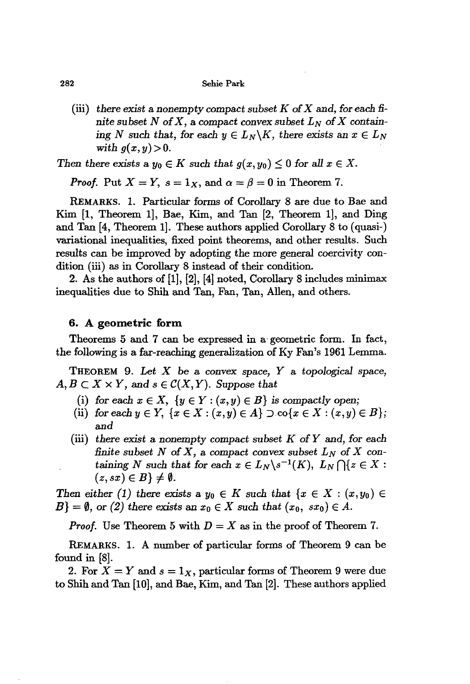#### 282 Sehie Park

(iii) there exist a nonempty compact subset  $K$  of  $X$  and, for each finite subset N of X, a compact convex subset  $L_N$  of X contain*ing* N such that, for each  $y \in L_N \backslash K$ , there exists an  $x \in L_N$ *with*  $g(x, y) > 0$ .

*Then there exists* a  $y_0 \in K$  *such that*  $g(x, y_0) \leq 0$  *for* all  $x \in X$ .

*Proof.* Put  $X = Y$ ,  $s = 1_X$ , and  $\alpha = \beta = 0$  in Theorem 7.

REMARKS. 1. Particular forms of Corollary 8 are due to Bae and Kim [1, Theorem 1], Bae, Kim, and Tan [2, Theorem 1], and Ding and Tan [4, Theorem 1]. These authors applied Corollary 8 to (quasi-) variational inequalities, fixed point theorems, and other results. Such results can be improved by adopting the more general coercivity condition (iii) as in Corollary 8 instead of their condition.

2. As the authors of [1], [2], [4] noted, Corollary 8 includes minimax inequalities due to Shih and Tan, Fan, Tan, Allen, and others.

#### **6. A geometric form**

Theorems 5 and 7 can be expressed in a· geometric form. In fact, the following is a far-reaching generalization of Ky Fan's 1961 Lemma.

THEOREM 9. *Let* X be a convex space, *Y* a *topological* space,  $A, B \subset X \times Y$ , and  $s \in \mathcal{C}(X, Y)$ . Suppose that

- (i) for each  $x \in X$ ,  $\{y \in Y : (x, y) \in B\}$  is compactly open;
- (ii) for each  $y \in Y$ ,  $\{x \in X : (x, y) \in A\} \supset \text{co}\{x \in X : (x, y) \in B\};$ and
- (iii) *there exist* a *nonempty* compact subset K *ofY* and, *for each finite* subset N of X, a compact convex subset  $L_N$  of X con*taining* N such that for each  $x \in L_N \backslash s^{-1}(K)$ ,  $L_N \bigcap \{z \in X :$  $(z, sx) \in B$   $\neq \emptyset$ .

*Then either* (1) *there exists* a  $y_0 \in K$  *such that*  $\{x \in X : (x, y_0) \in K\}$  $B$ } =  $\emptyset$ , or (2) *there exists* an  $x_0 \in X$  *such that*  $(x_0, sx_0) \in A$ .

*Proof.* Use Theorem 5 with  $D = X$  as in the proof of Theorem 7.

REMARKS. 1. A number of particular forms of Theorem 9 can be found in [8].

2. For  $X = Y$  and  $s = 1_X$ , particular forms of Theorem 9 were due to 8hih and Tan [10], and Bae, Kim, and Tan [2]. These authors applied